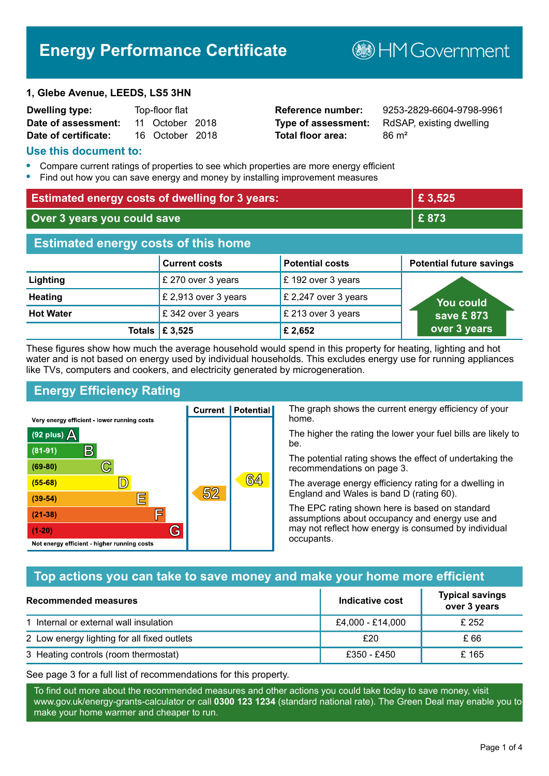# **Energy Performance Certificate**

**B**HM Government

#### **1, Glebe Avenue, LEEDS, LS5 3HN**

| <b>Dwelling type:</b> | Top-floor flat |                 |  |
|-----------------------|----------------|-----------------|--|
| Date of assessment:   |                | 11 October 2018 |  |
| Date of certificate:  |                | 16 October 2018 |  |

# **Total floor area:** 86 m<sup>2</sup>

**Reference number:** 9253-2829-6604-9798-9961 **Type of assessment:** RdSAP, existing dwelling

#### **Use this document to:**

- **•** Compare current ratings of properties to see which properties are more energy efficient
- **•** Find out how you can save energy and money by installing improvement measures

| <b>Estimated energy costs of dwelling for 3 years:</b> |                                 |                        | £ 3,525                         |
|--------------------------------------------------------|---------------------------------|------------------------|---------------------------------|
| Over 3 years you could save                            |                                 | £873                   |                                 |
| <b>Estimated energy costs of this home</b>             |                                 |                        |                                 |
|                                                        | <b>Current costs</b>            | <b>Potential costs</b> | <b>Potential future savings</b> |
| Lighting                                               | £ 270 over 3 years              | £192 over 3 years      |                                 |
| <b>Heating</b>                                         | £ 2,913 over 3 years            | £ 2,247 over 3 years   | You could                       |
| <b>Hot Water</b>                                       | £342 over 3 years               | £ 213 over 3 years     | save £873                       |
|                                                        | Totals $\mathbf \epsilon$ 3,525 | £ 2,652                | over 3 years                    |

These figures show how much the average household would spend in this property for heating, lighting and hot water and is not based on energy used by individual households. This excludes energy use for running appliances like TVs, computers and cookers, and electricity generated by microgeneration.

**Current | Potential** 

 $52$ 

# **Energy Efficiency Rating**

 $\mathbb{C}$ 

 $\mathbb{D}$ 

巨

庐

G

Very energy efficient - lower running costs

 $\mathsf{R}% _{T}$ 

Not energy efficient - higher running costs

(92 plus)  $\Delta$ 

 $(81 - 91)$  $(69 - 80)$ 

 $(55-68)$ 

 $(39 - 54)$ 

 $(21-38)$ 

 $(1-20)$ 

The graph shows the current energy efficiency of your home.

The higher the rating the lower your fuel bills are likely to be.

The potential rating shows the effect of undertaking the recommendations on page 3.

The average energy efficiency rating for a dwelling in England and Wales is band D (rating 60).

The EPC rating shown here is based on standard assumptions about occupancy and energy use and may not reflect how energy is consumed by individual occupants.

## **Top actions you can take to save money and make your home more efficient**

 $64$ 

| Recommended measures                        | Indicative cost  | <b>Typical savings</b><br>over 3 years |
|---------------------------------------------|------------------|----------------------------------------|
| 1 Internal or external wall insulation      | £4,000 - £14,000 | £ 252                                  |
| 2 Low energy lighting for all fixed outlets | £20              | £ 66                                   |
| 3 Heating controls (room thermostat)        | £350 - £450      | £165                                   |

See page 3 for a full list of recommendations for this property.

To find out more about the recommended measures and other actions you could take today to save money, visit www.gov.uk/energy-grants-calculator or call **0300 123 1234** (standard national rate). The Green Deal may enable you to make your home warmer and cheaper to run.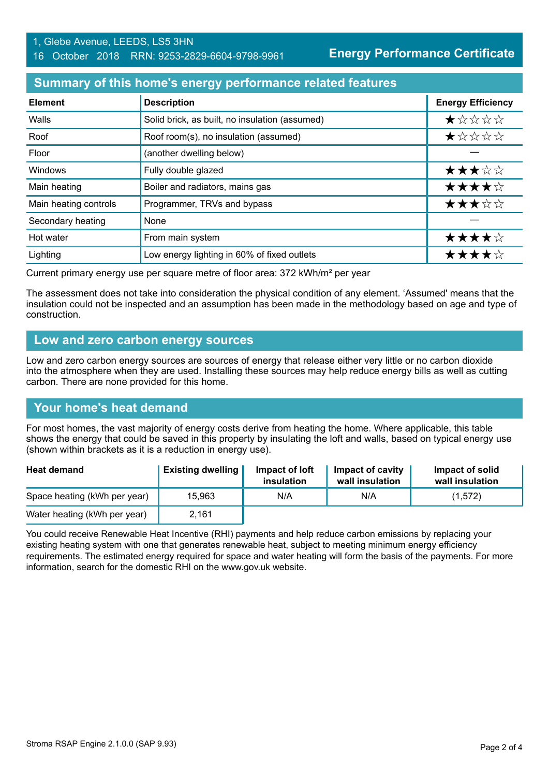#### **Summary of this home's energy performance related features**

| <b>Element</b>        | <b>Description</b>                             | <b>Energy Efficiency</b> |
|-----------------------|------------------------------------------------|--------------------------|
| Walls                 | Solid brick, as built, no insulation (assumed) | *****                    |
| Roof                  | Roof room(s), no insulation (assumed)          | *****                    |
| Floor                 | (another dwelling below)                       |                          |
| Windows               | Fully double glazed                            | ★★★☆☆                    |
| Main heating          | Boiler and radiators, mains gas                | ★★★★☆                    |
| Main heating controls | Programmer, TRVs and bypass                    | ★★★☆☆                    |
| Secondary heating     | None                                           |                          |
| Hot water             | From main system                               | ★★★★☆                    |
| Lighting              | Low energy lighting in 60% of fixed outlets    | ★★★★☆                    |

Current primary energy use per square metre of floor area: 372 kWh/m² per year

The assessment does not take into consideration the physical condition of any element. 'Assumed' means that the insulation could not be inspected and an assumption has been made in the methodology based on age and type of construction.

#### **Low and zero carbon energy sources**

Low and zero carbon energy sources are sources of energy that release either very little or no carbon dioxide into the atmosphere when they are used. Installing these sources may help reduce energy bills as well as cutting carbon. There are none provided for this home.

## **Your home's heat demand**

For most homes, the vast majority of energy costs derive from heating the home. Where applicable, this table shows the energy that could be saved in this property by insulating the loft and walls, based on typical energy use (shown within brackets as it is a reduction in energy use).

| <b>Heat demand</b>           | <b>Existing dwelling</b> | Impact of loft<br>insulation | Impact of cavity<br>wall insulation | Impact of solid<br>wall insulation |
|------------------------------|--------------------------|------------------------------|-------------------------------------|------------------------------------|
| Space heating (kWh per year) | 15,963                   | N/A                          | N/A                                 | (1,572)                            |
| Water heating (kWh per year) | 2,161                    |                              |                                     |                                    |

You could receive Renewable Heat Incentive (RHI) payments and help reduce carbon emissions by replacing your existing heating system with one that generates renewable heat, subject to meeting minimum energy efficiency requirements. The estimated energy required for space and water heating will form the basis of the payments. For more information, search for the domestic RHI on the www.gov.uk website.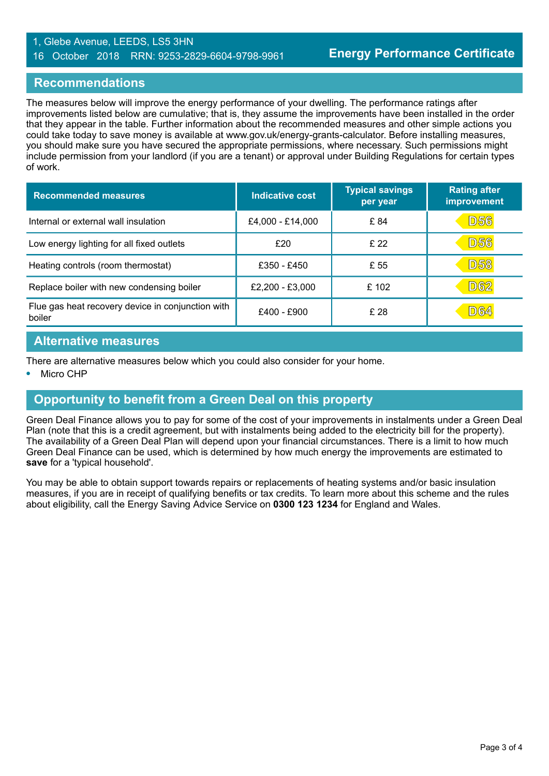#### 1, Glebe Avenue, LEEDS, LS5 3HN 16 October 2018 RRN: 9253-2829-6604-9798-9961

#### **Recommendations**

The measures below will improve the energy performance of your dwelling. The performance ratings after improvements listed below are cumulative; that is, they assume the improvements have been installed in the order that they appear in the table. Further information about the recommended measures and other simple actions you could take today to save money is available at www.gov.uk/energy-grants-calculator. Before installing measures, you should make sure you have secured the appropriate permissions, where necessary. Such permissions might include permission from your landlord (if you are a tenant) or approval under Building Regulations for certain types of work.

| <b>Recommended measures</b>                                 | Indicative cost  | <b>Typical savings</b><br>per year | <b>Rating after</b><br>improvement |
|-------------------------------------------------------------|------------------|------------------------------------|------------------------------------|
| Internal or external wall insulation                        | £4,000 - £14,000 | £ 84                               | <b>D56</b>                         |
| Low energy lighting for all fixed outlets                   | £20              | £22                                | <b>D56</b>                         |
| Heating controls (room thermostat)                          | £350 - £450      | £ 55                               | <b>D58</b>                         |
| Replace boiler with new condensing boiler                   | £2,200 - £3,000  | £102                               | D62                                |
| Flue gas heat recovery device in conjunction with<br>boiler | £400 - £900      | £28                                | D64                                |

#### **Alternative measures**

There are alternative measures below which you could also consider for your home.

**•** Micro CHP

## **Opportunity to benefit from a Green Deal on this property**

Green Deal Finance allows you to pay for some of the cost of your improvements in instalments under a Green Deal Plan (note that this is a credit agreement, but with instalments being added to the electricity bill for the property). The availability of a Green Deal Plan will depend upon your financial circumstances. There is a limit to how much Green Deal Finance can be used, which is determined by how much energy the improvements are estimated to **save** for a 'typical household'.

You may be able to obtain support towards repairs or replacements of heating systems and/or basic insulation measures, if you are in receipt of qualifying benefits or tax credits. To learn more about this scheme and the rules about eligibility, call the Energy Saving Advice Service on **0300 123 1234** for England and Wales.